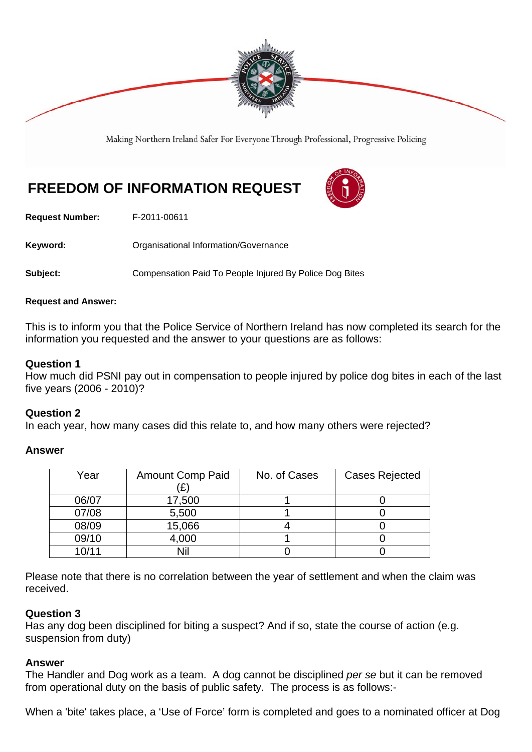

Making Northern Ireland Safer For Everyone Through Professional, Progressive Policing

# **FREEDOM OF INFORMATION REQUEST**



**Request Number:** F-2011-00611

**Keyword:** Organisational Information/Governance

**Subject:** Compensation Paid To People Injured By Police Dog Bites

#### **Request and Answer:**

This is to inform you that the Police Service of Northern Ireland has now completed its search for the information you requested and the answer to your questions are as follows:

### **Question 1**

How much did PSNI pay out in compensation to people injured by police dog bites in each of the last five years (2006 - 2010)?

#### **Question 2**

In each year, how many cases did this relate to, and how many others were rejected?

## **Answer**

| Year  | <b>Amount Comp Paid</b> | No. of Cases | <b>Cases Rejected</b> |
|-------|-------------------------|--------------|-----------------------|
| 06/07 | 17,500                  |              |                       |
| 07/08 | 5,500                   |              |                       |
| 08/09 | 15,066                  |              |                       |
| 09/10 | 4,000                   |              |                       |
| 10/11 | Nil                     |              |                       |

Please note that there is no correlation between the year of settlement and when the claim was received.

## **Question 3**

Has any dog been disciplined for biting a suspect? And if so, state the course of action (e.g. suspension from duty)

#### **Answer**

The Handler and Dog work as a team. A dog cannot be disciplined *per se* but it can be removed from operational duty on the basis of public safety. The process is as follows:-

When a 'bite' takes place, a 'Use of Force' form is completed and goes to a nominated officer at Dog